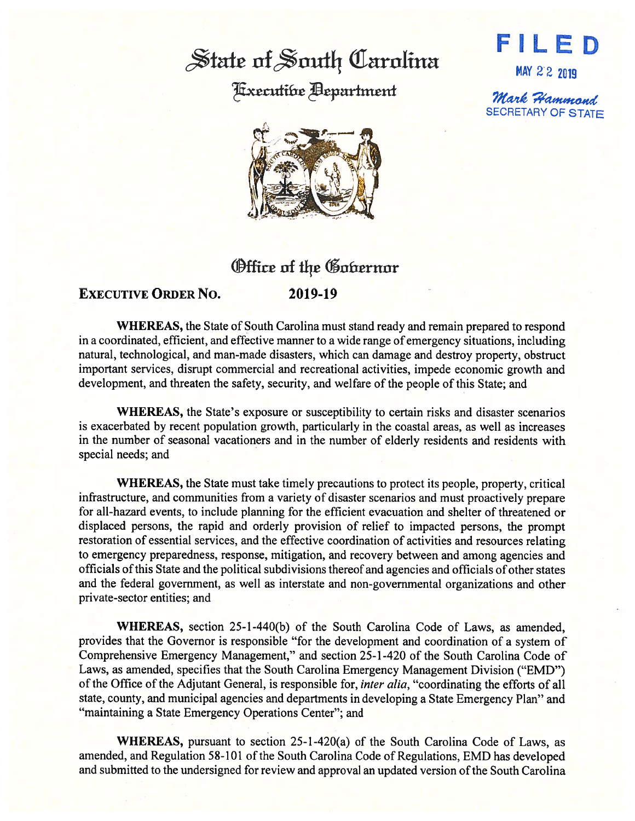## State of South Carolina

Hxecutibe **Bepartment** 



MAY 2·2 2019

 $\mathcal$ Mark Hammond. SECRETARY OF STATE



## **Office of the Gobernor**

## **EXECUTIVE ORDER No. 2019-19**

**WHEREAS,** the State of South Carolina must stand ready and remain prepared to respond in a coordinated, efficient, and effective manner to a wide range of emergency situations, including natural, technological, and man-made disasters, which can damage and destroy property, obstruct important services, disrupt commercial and recreational activities, impede economic growth and development, and threaten the safety, security, and welfare of the people of this State; and

**WHEREAS,** the State's exposure or susceptibility to certain risks and disaster scenarios is exacerbated by recent population growth, particularly in the coastal areas, as well as increases in the number of seasonal vacationers and in the number of elderly residents and residents with special needs; and

**WHEREAS,** the State must take timely precautions to protect its people, property, critical infrastructure, and communities from a variety of disaster scenarios and must proactively prepare for all-hazard events, to include planning for the efficient evacuation and shelter of threatened or displaced persons, the rapid and orderly provision of relief to impacted persons, the prompt restoration of essential services, and the effective coordination of activities and resources relating to emergency preparedness, response, mitigation, and recovery between and among agencies and officials of this State and the political subdivisions thereof and agencies and officials of other states and the federal government, as well as interstate and non-governmental organizations and other private-sector entities; and

**WHEREAS,** section 25-l-440(b) of the South Carolina Code of Laws, as amended, provides that the Governor is responsible "for the development and coordination of a system of Comprehensive Emergency Management," and section 25-1-420 of the South Carolina Code of Laws, as amended, specifies that the South Carolina Emergency Management Division ("EMD") of the Office of the Adjutant General, is responsible for, *inter alia,* "coordinating the efforts of all state, county, and municipal agencies and departments in developing a State Emergency Plan" and "maintaining a State Emergency Operations Center"; and

**WHEREAS,** pursuant to section 25-1-420(a) of the South Carolina Code of Laws, as amended, and Regulation 58-101 of the South Carolina Code of Regulations, EMD has developed and submitted to the undersigned for review and approval an updated version of the South Carolina